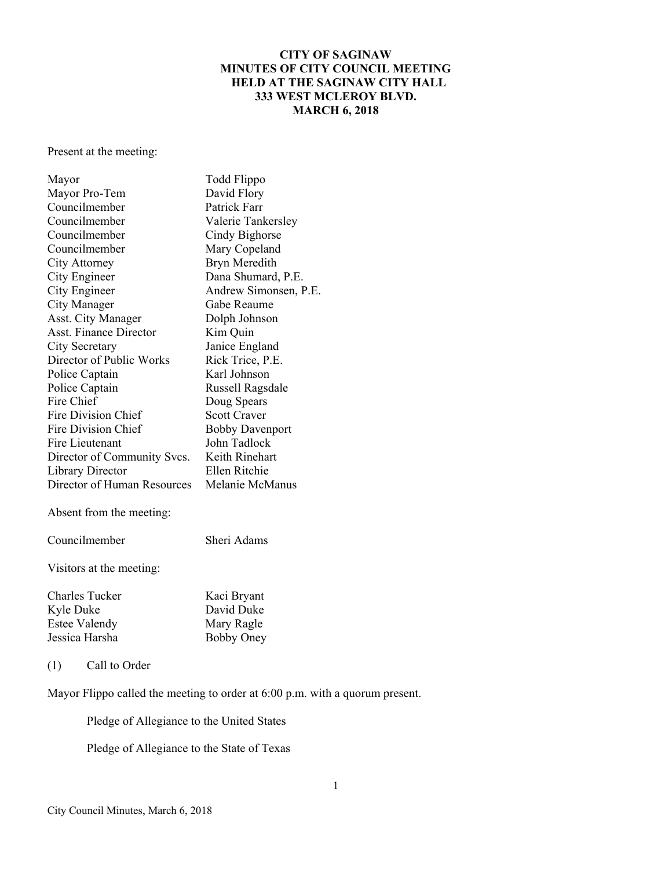## **CITY OF SAGINAW MINUTES OF CITY COUNCIL MEETING HELD AT THE SAGINAW CITY HALL 333 WEST MCLEROY BLVD. MARCH 6, 2018**

Present at the meeting:

| Mayor                         | Todd Flippo            |  |
|-------------------------------|------------------------|--|
| Mayor Pro-Tem                 | David Flory            |  |
| Councilmember                 | Patrick Farr           |  |
| Councilmember                 | Valerie Tankersley     |  |
| Councilmember                 | Cindy Bighorse         |  |
| Councilmember                 | Mary Copeland          |  |
| City Attorney                 | Bryn Meredith          |  |
| City Engineer                 | Dana Shumard, P.E.     |  |
| City Engineer                 | Andrew Simonsen, P.E.  |  |
| City Manager                  | Gabe Reaume            |  |
| Asst. City Manager            | Dolph Johnson          |  |
| <b>Asst. Finance Director</b> | Kim Quin               |  |
| City Secretary                | Janice England         |  |
| Director of Public Works      | Rick Trice, P.E.       |  |
| Police Captain                | Karl Johnson           |  |
| Police Captain                | Russell Ragsdale       |  |
| Fire Chief                    | Doug Spears            |  |
| Fire Division Chief           | <b>Scott Craver</b>    |  |
| Fire Division Chief           | <b>Bobby Davenport</b> |  |
| Fire Lieutenant               | John Tadlock           |  |
| Director of Community Svcs.   | Keith Rinehart         |  |
| Library Director              | Ellen Ritchie          |  |
| Director of Human Resources   | Melanie McManus        |  |
| Absent from the meeting:      |                        |  |
| Councilmember                 | Sheri Adams            |  |
| Visitors at the meeting:      |                        |  |
| <b>Charles Tucker</b>         | Kaci Bryant            |  |
| Kyle Duke                     | David Duke             |  |
| <b>Estee Valendy</b>          | Mary Ragle             |  |
| Jessica Harsha                | <b>Bobby Oney</b>      |  |

(1) Call to Order

Mayor Flippo called the meeting to order at 6:00 p.m. with a quorum present.

Pledge of Allegiance to the United States

Pledge of Allegiance to the State of Texas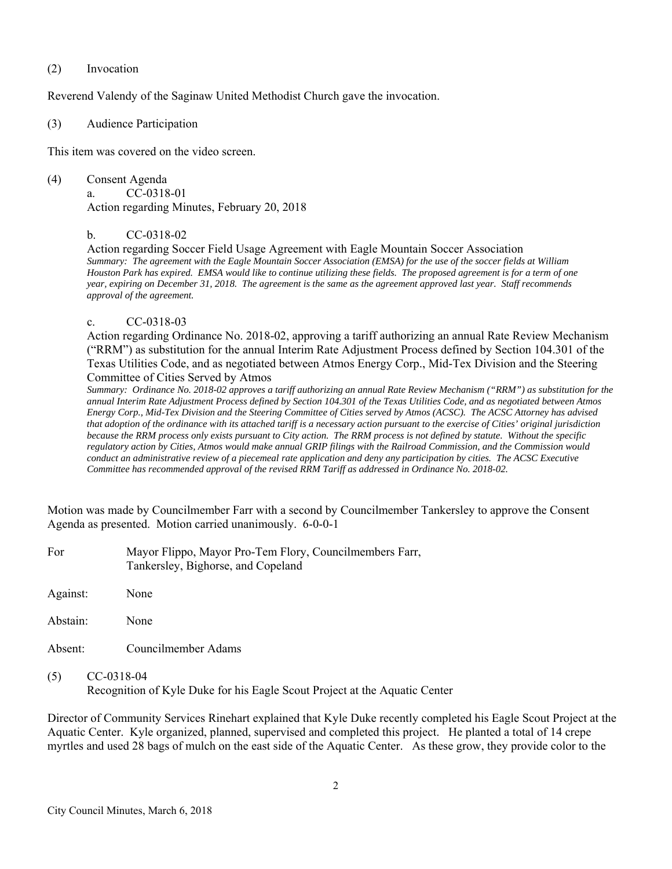#### (2) Invocation

Reverend Valendy of the Saginaw United Methodist Church gave the invocation.

### (3) Audience Participation

This item was covered on the video screen.

(4) Consent Agenda a. CC-0318-01 Action regarding Minutes, February 20, 2018

### b. CC-0318-02

 Action regarding Soccer Field Usage Agreement with Eagle Mountain Soccer Association *Summary: The agreement with the Eagle Mountain Soccer Association (EMSA) for the use of the soccer fields at William Houston Park has expired. EMSA would like to continue utilizing these fields. The proposed agreement is for a term of one year, expiring on December 31, 2018. The agreement is the same as the agreement approved last year. Staff recommends approval of the agreement.* 

#### c. CC-0318-03

 Action regarding Ordinance No. 2018-02, approving a tariff authorizing an annual Rate Review Mechanism ("RRM") as substitution for the annual Interim Rate Adjustment Process defined by Section 104.301 of the Texas Utilities Code, and as negotiated between Atmos Energy Corp., Mid-Tex Division and the Steering Committee of Cities Served by Atmos

*Summary: Ordinance No. 2018-02 approves a tariff authorizing an annual Rate Review Mechanism ("RRM") as substitution for the annual Interim Rate Adjustment Process defined by Section 104.301 of the Texas Utilities Code, and as negotiated between Atmos Energy Corp., Mid-Tex Division and the Steering Committee of Cities served by Atmos (ACSC). The ACSC Attorney has advised that adoption of the ordinance with its attached tariff is a necessary action pursuant to the exercise of Cities' original jurisdiction because the RRM process only exists pursuant to City action. The RRM process is not defined by statute. Without the specific regulatory action by Cities, Atmos would make annual GRIP filings with the Railroad Commission, and the Commission would conduct an administrative review of a piecemeal rate application and deny any participation by cities. The ACSC Executive Committee has recommended approval of the revised RRM Tariff as addressed in Ordinance No. 2018-02.* 

Motion was made by Councilmember Farr with a second by Councilmember Tankersley to approve the Consent Agenda as presented. Motion carried unanimously. 6-0-0-1

| For | Mayor Flippo, Mayor Pro-Tem Flory, Councilmembers Farr, |
|-----|---------------------------------------------------------|
|     | Tankersley, Bighorse, and Copeland                      |

Against: None

Abstain: None

Absent: Councilmember Adams

(5) CC-0318-04 Recognition of Kyle Duke for his Eagle Scout Project at the Aquatic Center

Director of Community Services Rinehart explained that Kyle Duke recently completed his Eagle Scout Project at the Aquatic Center. Kyle organized, planned, supervised and completed this project. He planted a total of 14 crepe myrtles and used 28 bags of mulch on the east side of the Aquatic Center. As these grow, they provide color to the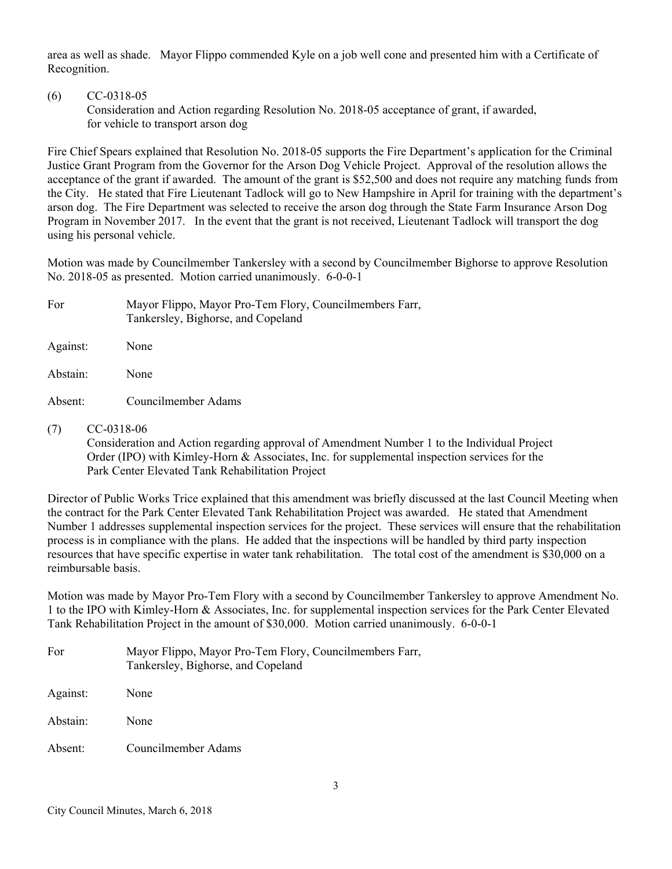area as well as shade. Mayor Flippo commended Kyle on a job well cone and presented him with a Certificate of Recognition.

# (6) CC-0318-05

 Consideration and Action regarding Resolution No. 2018-05 acceptance of grant, if awarded, for vehicle to transport arson dog

Fire Chief Spears explained that Resolution No. 2018-05 supports the Fire Department's application for the Criminal Justice Grant Program from the Governor for the Arson Dog Vehicle Project. Approval of the resolution allows the acceptance of the grant if awarded. The amount of the grant is \$52,500 and does not require any matching funds from the City. He stated that Fire Lieutenant Tadlock will go to New Hampshire in April for training with the department's arson dog. The Fire Department was selected to receive the arson dog through the State Farm Insurance Arson Dog Program in November 2017. In the event that the grant is not received, Lieutenant Tadlock will transport the dog using his personal vehicle.

Motion was made by Councilmember Tankersley with a second by Councilmember Bighorse to approve Resolution No. 2018-05 as presented. Motion carried unanimously. 6-0-0-1

| For      | Mayor Flippo, Mayor Pro-Tem Flory, Councilmembers Farr,<br>Tankersley, Bighorse, and Copeland |
|----------|-----------------------------------------------------------------------------------------------|
| Against: | None                                                                                          |
| Abstain: | None                                                                                          |

Absent: Councilmember Adams

(7) CC-0318-06

 Consideration and Action regarding approval of Amendment Number 1 to the Individual Project Order (IPO) with Kimley-Horn & Associates, Inc. for supplemental inspection services for the Park Center Elevated Tank Rehabilitation Project

Director of Public Works Trice explained that this amendment was briefly discussed at the last Council Meeting when the contract for the Park Center Elevated Tank Rehabilitation Project was awarded. He stated that Amendment Number 1 addresses supplemental inspection services for the project. These services will ensure that the rehabilitation process is in compliance with the plans. He added that the inspections will be handled by third party inspection resources that have specific expertise in water tank rehabilitation. The total cost of the amendment is \$30,000 on a reimbursable basis.

Motion was made by Mayor Pro-Tem Flory with a second by Councilmember Tankersley to approve Amendment No. 1 to the IPO with Kimley-Horn & Associates, Inc. for supplemental inspection services for the Park Center Elevated Tank Rehabilitation Project in the amount of \$30,000. Motion carried unanimously. 6-0-0-1

| For      | Mayor Flippo, Mayor Pro-Tem Flory, Councilmembers Farr,<br>Tankersley, Bighorse, and Copeland |
|----------|-----------------------------------------------------------------------------------------------|
| Against: | None                                                                                          |
| Abstain: | None                                                                                          |
| Absent:  | Councilmember Adams                                                                           |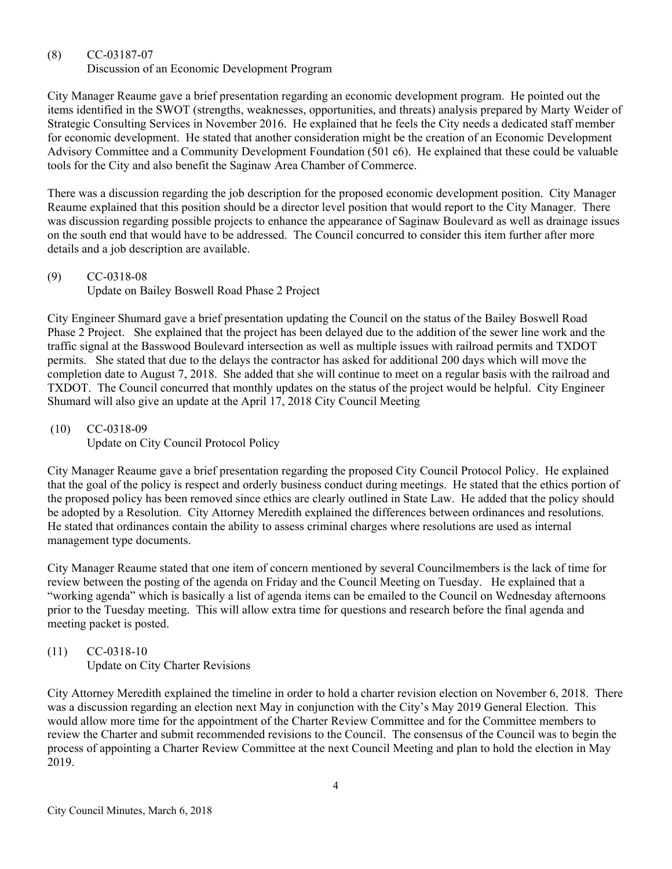# (8) CC-03187-07

Discussion of an Economic Development Program

City Manager Reaume gave a brief presentation regarding an economic development program. He pointed out the items identified in the SWOT (strengths, weaknesses, opportunities, and threats) analysis prepared by Marty Weider of Strategic Consulting Services in November 2016. He explained that he feels the City needs a dedicated staff member for economic development. He stated that another consideration might be the creation of an Economic Development Advisory Committee and a Community Development Foundation (501 c6). He explained that these could be valuable tools for the City and also benefit the Saginaw Area Chamber of Commerce.

There was a discussion regarding the job description for the proposed economic development position. City Manager Reaume explained that this position should be a director level position that would report to the City Manager. There was discussion regarding possible projects to enhance the appearance of Saginaw Boulevard as well as drainage issues on the south end that would have to be addressed. The Council concurred to consider this item further after more details and a job description are available.

## (9) CC-0318-08 Update on Bailey Boswell Road Phase 2 Project

City Engineer Shumard gave a brief presentation updating the Council on the status of the Bailey Boswell Road Phase 2 Project. She explained that the project has been delayed due to the addition of the sewer line work and the traffic signal at the Basswood Boulevard intersection as well as multiple issues with railroad permits and TXDOT permits. She stated that due to the delays the contractor has asked for additional 200 days which will move the completion date to August 7, 2018. She added that she will continue to meet on a regular basis with the railroad and TXDOT. The Council concurred that monthly updates on the status of the project would be helpful. City Engineer Shumard will also give an update at the April 17, 2018 City Council Meeting

(10) CC-0318-09

Update on City Council Protocol Policy

City Manager Reaume gave a brief presentation regarding the proposed City Council Protocol Policy. He explained that the goal of the policy is respect and orderly business conduct during meetings. He stated that the ethics portion of the proposed policy has been removed since ethics are clearly outlined in State Law. He added that the policy should be adopted by a Resolution. City Attorney Meredith explained the differences between ordinances and resolutions. He stated that ordinances contain the ability to assess criminal charges where resolutions are used as internal management type documents.

City Manager Reaume stated that one item of concern mentioned by several Councilmembers is the lack of time for review between the posting of the agenda on Friday and the Council Meeting on Tuesday. He explained that a "working agenda" which is basically a list of agenda items can be emailed to the Council on Wednesday afternoons prior to the Tuesday meeting. This will allow extra time for questions and research before the final agenda and meeting packet is posted.

#### (11) CC-0318-10 Update on City Charter Revisions

City Attorney Meredith explained the timeline in order to hold a charter revision election on November 6, 2018. There was a discussion regarding an election next May in conjunction with the City's May 2019 General Election. This would allow more time for the appointment of the Charter Review Committee and for the Committee members to review the Charter and submit recommended revisions to the Council. The consensus of the Council was to begin the process of appointing a Charter Review Committee at the next Council Meeting and plan to hold the election in May 2019.